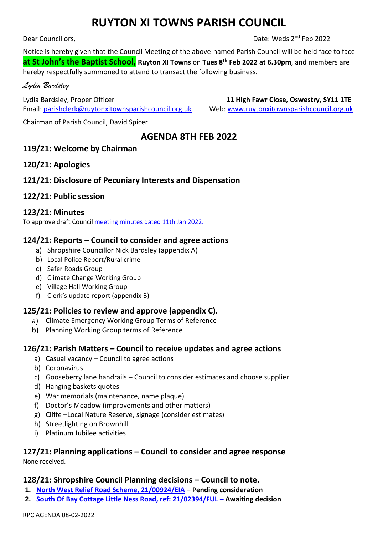# **RUYTON XI TOWNS PARISH COUNCIL**

Dear Councillors,

Date: Weds 2<sup>nd</sup> Feb 2022

Notice is hereby given that the Council Meeting of the above-named Parish Council will be held face to face **at St John's the Baptist School, Ruyton XI Towns** on **Tues 8 th Feb 2022 at 6.30pm**, and members are hereby respectfully summoned to attend to transact the following business.

#### *Lydia Bardsley*

Lydia Bardsley, Proper Officer **11 High Fawr Close, Oswestry, SY11 1TE**  Email[: parishclerk@ruytonxitownsparishcouncil.org.uk](mailto:parishclerk@ruytonxitownsparishcouncil.org.uk) Web: [www.ruytonxitownsparishcouncil.org.uk](http://www.ruytonxitownsparishcouncil.org.uk/)

Chairman of Parish Council, David Spicer

# **AGENDA 8TH FEB 2022**

# **119/21: Welcome by Chairman**

# **120/21: Apologies**

# **121/21: Disclosure of Pecuniary Interests and Dispensation**

# **122/21: Public session**

#### **123/21: Minutes**

To approve draft Council [meeting minutes dated](http://www.ruytonxitownsparishcouncil.org.uk/wp-content/uploads/2022/02/Jan-2022-minutes-1.pdf) 11th Jan 2022.

# **124/21: Reports – Council to consider and agree actions**

- a) Shropshire Councillor Nick Bardsley (appendix A)
- b) Local Police Report/Rural crime
- c) Safer Roads Group
- d) Climate Change Working Group
- e) Village Hall Working Group
- f) Clerk's update report (appendix B)

# **125/21: Policies to review and approve (appendix C).**

- a) Climate Emergency Working Group Terms of Reference
- b) Planning Working Group terms of Reference

#### **126/21: Parish Matters – Council to receive updates and agree actions**

- a) Casual vacancy Council to agree actions
- b) Coronavirus
- c) Gooseberry lane handrails Council to consider estimates and choose supplier
- d) Hanging baskets quotes
- e) War memorials (maintenance, name plaque)
- f) Doctor's Meadow (improvements and other matters)
- g) Cliffe –Local Nature Reserve, signage (consider estimates)
- h) Streetlighting on Brownhill
- i) Platinum Jubilee activities

# **127/21: Planning applications – Council to consider and agree response**

None received.

#### **128/21: Shropshire Council Planning decisions – Council to note.**

- **1. [North West Relief Road Scheme, 21/00924/EIA](https://pa.shropshire.gov.uk/online-applications/applicationDetails.do?activeTab=summary&keyVal=QOXI5QTD06Z00) – Pending consideration**
- **2. [South Of Bay Cottage Little Ness Road, ref: 21/02394/FUL](https://pa.shropshire.gov.uk/online-applications/applicationDetails.do?activeTab=summary&keyVal=QSWEBQTD06Z00) – Awaiting decision**